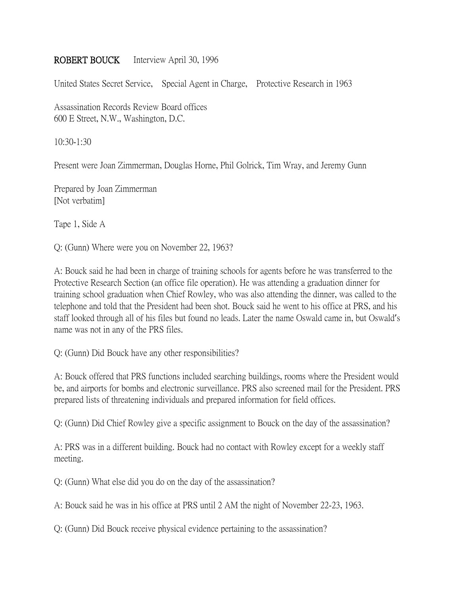## ROBERT BOUCK Interview April 30, 1996

United States Secret Service, Special Agent in Charge, Protective Research in 1963

Assassination Records Review Board offices 600 E Street, N.W., Washington, D.C.

10:30-1:30

Present were Joan Zimmerman, Douglas Horne, Phil Golrick, Tim Wray, and Jeremy Gunn

Prepared by Joan Zimmerman [Not verbatim]

Tape 1, Side A

Q: (Gunn) Where were you on November 22, 1963?

A: Bouck said he had been in charge of training schools for agents before he was transferred to the Protective Research Section (an office file operation). He was attending a graduation dinner for training school graduation when Chief Rowley, who was also attending the dinner, was called to the telephone and told that the President had been shot. Bouck said he went to his office at PRS, and his staff looked through all of his files but found no leads. Later the name Oswald came in, but Oswald's name was not in any of the PRS files.

Q: (Gunn) Did Bouck have any other responsibilities?

A: Bouck offered that PRS functions included searching buildings, rooms where the President would be, and airports for bombs and electronic surveillance. PRS also screened mail for the President. PRS prepared lists of threatening individuals and prepared information for field offices.

Q: (Gunn) Did Chief Rowley give a specific assignment to Bouck on the day of the assassination?

A: PRS was in a different building. Bouck had no contact with Rowley except for a weekly staff meeting.

Q: (Gunn) What else did you do on the day of the assassination?

A: Bouck said he was in his office at PRS until 2 AM the night of November 22-23, 1963.

Q: (Gunn) Did Bouck receive physical evidence pertaining to the assassination?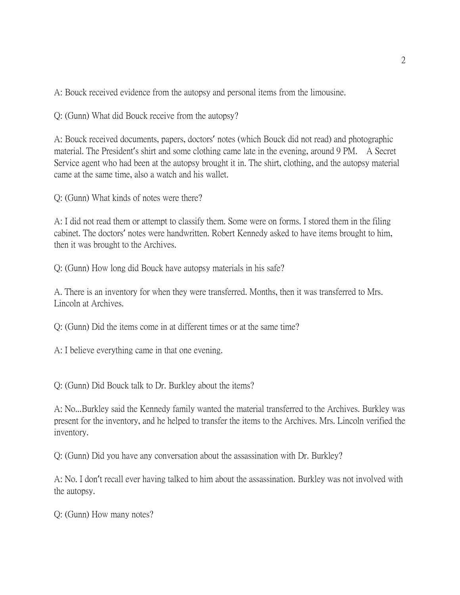A: Bouck received evidence from the autopsy and personal items from the limousine.

Q: (Gunn) What did Bouck receive from the autopsy?

A: Bouck received documents, papers, doctors' notes (which Bouck did not read) and photographic material. The President's shirt and some clothing came late in the evening, around 9 PM. A Secret Service agent who had been at the autopsy brought it in. The shirt, clothing, and the autopsy material came at the same time, also a watch and his wallet.

Q: (Gunn) What kinds of notes were there?

A: I did not read them or attempt to classify them. Some were on forms. I stored them in the filing cabinet. The doctors' notes were handwritten. Robert Kennedy asked to have items brought to him, then it was brought to the Archives.

Q: (Gunn) How long did Bouck have autopsy materials in his safe?

A. There is an inventory for when they were transferred. Months, then it was transferred to Mrs. Lincoln at Archives.

Q: (Gunn) Did the items come in at different times or at the same time?

A: I believe everything came in that one evening.

Q: (Gunn) Did Bouck talk to Dr. Burkley about the items?

A: No...Burkley said the Kennedy family wanted the material transferred to the Archives. Burkley was present for the inventory, and he helped to transfer the items to the Archives. Mrs. Lincoln verified the inventory.

Q: (Gunn) Did you have any conversation about the assassination with Dr. Burkley?

A: No. I don't recall ever having talked to him about the assassination. Burkley was not involved with the autopsy.

Q: (Gunn) How many notes?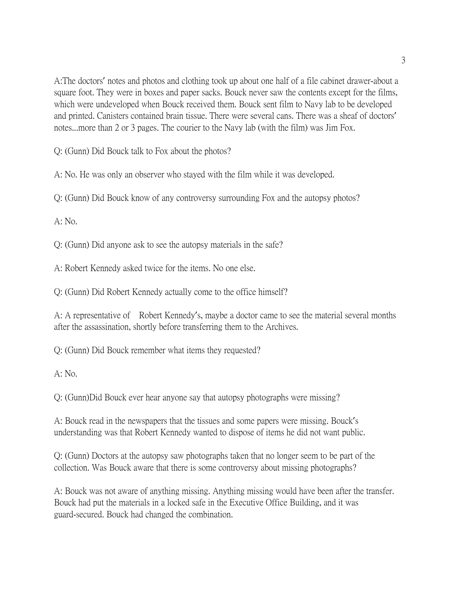A:The doctors' notes and photos and clothing took up about one half of a file cabinet drawer-about a square foot. They were in boxes and paper sacks. Bouck never saw the contents except for the films, which were undeveloped when Bouck received them. Bouck sent film to Navy lab to be developed and printed. Canisters contained brain tissue. There were several cans. There was a sheaf of doctors' notes...more than 2 or 3 pages. The courier to the Navy lab (with the film) was Jim Fox.

Q: (Gunn) Did Bouck talk to Fox about the photos?

A: No. He was only an observer who stayed with the film while it was developed.

Q: (Gunn) Did Bouck know of any controversy surrounding Fox and the autopsy photos?

A: No.

Q: (Gunn) Did anyone ask to see the autopsy materials in the safe?

A: Robert Kennedy asked twice for the items. No one else.

Q: (Gunn) Did Robert Kennedy actually come to the office himself?

A: A representative of Robert Kennedy's, maybe a doctor came to see the material several months after the assassination, shortly before transferring them to the Archives.

Q: (Gunn) Did Bouck remember what items they requested?

A: No.

Q: (Gunn)Did Bouck ever hear anyone say that autopsy photographs were missing?

A: Bouck read in the newspapers that the tissues and some papers were missing. Bouck's understanding was that Robert Kennedy wanted to dispose of items he did not want public.

Q: (Gunn) Doctors at the autopsy saw photographs taken that no longer seem to be part of the collection. Was Bouck aware that there is some controversy about missing photographs?

A: Bouck was not aware of anything missing. Anything missing would have been after the transfer. Bouck had put the materials in a locked safe in the Executive Office Building, and it was guard-secured. Bouck had changed the combination.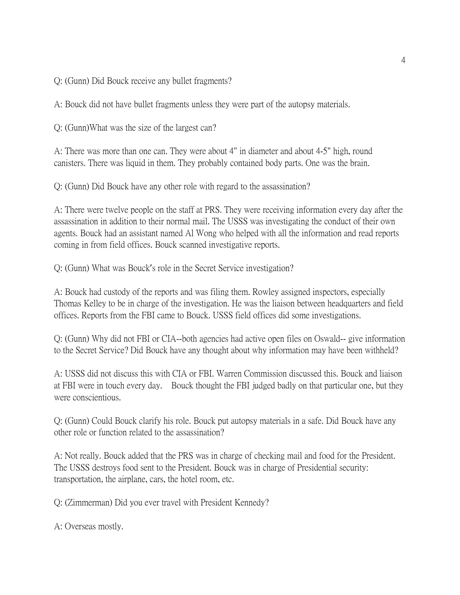Q: (Gunn) Did Bouck receive any bullet fragments?

A: Bouck did not have bullet fragments unless they were part of the autopsy materials.

Q: (Gunn)What was the size of the largest can?

A: There was more than one can. They were about 4" in diameter and about 4-5" high, round canisters. There was liquid in them. They probably contained body parts. One was the brain.

Q: (Gunn) Did Bouck have any other role with regard to the assassination?

A: There were twelve people on the staff at PRS. They were receiving information every day after the assassination in addition to their normal mail. The USSS was investigating the conduct of their own agents. Bouck had an assistant named Al Wong who helped with all the information and read reports coming in from field offices. Bouck scanned investigative reports.

Q: (Gunn) What was Bouck's role in the Secret Service investigation?

A: Bouck had custody of the reports and was filing them. Rowley assigned inspectors, especially Thomas Kelley to be in charge of the investigation. He was the liaison between headquarters and field offices. Reports from the FBI came to Bouck. USSS field offices did some investigations.

Q: (Gunn) Why did not FBI or CIA--both agencies had active open files on Oswald-- give information to the Secret Service? Did Bouck have any thought about why information may have been withheld?

A: USSS did not discuss this with CIA or FBI. Warren Commission discussed this. Bouck and liaison at FBI were in touch every day. Bouck thought the FBI judged badly on that particular one, but they were conscientious.

Q: (Gunn) Could Bouck clarify his role. Bouck put autopsy materials in a safe. Did Bouck have any other role or function related to the assassination?

A: Not really. Bouck added that the PRS was in charge of checking mail and food for the President. The USSS destroys food sent to the President. Bouck was in charge of Presidential security: transportation, the airplane, cars, the hotel room, etc.

Q: (Zimmerman) Did you ever travel with President Kennedy?

A: Overseas mostly.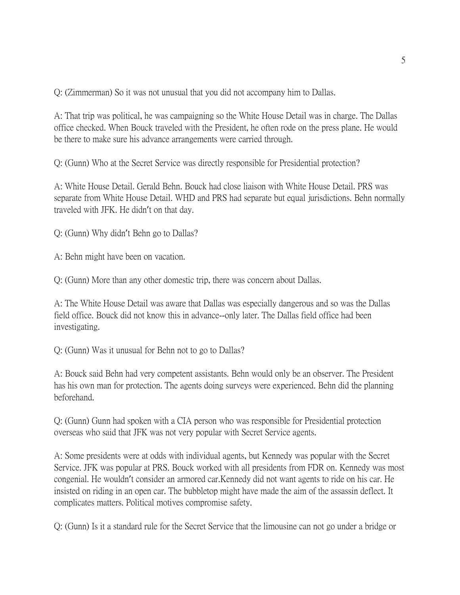Q: (Zimmerman) So it was not unusual that you did not accompany him to Dallas.

A: That trip was political, he was campaigning so the White House Detail was in charge. The Dallas office checked. When Bouck traveled with the President, he often rode on the press plane. He would be there to make sure his advance arrangements were carried through.

Q: (Gunn) Who at the Secret Service was directly responsible for Presidential protection?

A: White House Detail. Gerald Behn. Bouck had close liaison with White House Detail. PRS was separate from White House Detail. WHD and PRS had separate but equal jurisdictions. Behn normally traveled with JFK. He didn't on that day.

Q: (Gunn) Why didn't Behn go to Dallas?

A: Behn might have been on vacation.

Q: (Gunn) More than any other domestic trip, there was concern about Dallas.

A: The White House Detail was aware that Dallas was especially dangerous and so was the Dallas field office. Bouck did not know this in advance--only later. The Dallas field office had been investigating.

Q: (Gunn) Was it unusual for Behn not to go to Dallas?

A: Bouck said Behn had very competent assistants. Behn would only be an observer. The President has his own man for protection. The agents doing surveys were experienced. Behn did the planning beforehand.

Q: (Gunn) Gunn had spoken with a CIA person who was responsible for Presidential protection overseas who said that JFK was not very popular with Secret Service agents.

A: Some presidents were at odds with individual agents, but Kennedy was popular with the Secret Service. JFK was popular at PRS. Bouck worked with all presidents from FDR on. Kennedy was most congenial. He wouldn't consider an armored car.Kennedy did not want agents to ride on his car. He insisted on riding in an open car. The bubbletop might have made the aim of the assassin deflect. It complicates matters. Political motives compromise safety.

Q: (Gunn) Is it a standard rule for the Secret Service that the limousine can not go under a bridge or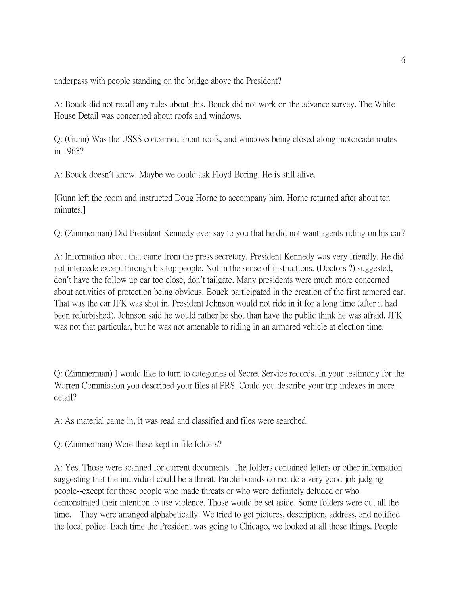underpass with people standing on the bridge above the President?

A: Bouck did not recall any rules about this. Bouck did not work on the advance survey. The White House Detail was concerned about roofs and windows.

Q: (Gunn) Was the USSS concerned about roofs, and windows being closed along motorcade routes in 1963?

A: Bouck doesn't know. Maybe we could ask Floyd Boring. He is still alive.

[Gunn left the room and instructed Doug Horne to accompany him. Horne returned after about ten minutes.]

Q: (Zimmerman) Did President Kennedy ever say to you that he did not want agents riding on his car?

A: Information about that came from the press secretary. President Kennedy was very friendly. He did not intercede except through his top people. Not in the sense of instructions. (Doctors ?) suggested, don't have the follow up car too close, don't tailgate. Many presidents were much more concerned about activities of protection being obvious. Bouck participated in the creation of the first armored car. That was the car JFK was shot in. President Johnson would not ride in it for a long time (after it had been refurbished). Johnson said he would rather be shot than have the public think he was afraid. JFK was not that particular, but he was not amenable to riding in an armored vehicle at election time.

Q: (Zimmerman) I would like to turn to categories of Secret Service records. In your testimony for the Warren Commission you described your files at PRS. Could you describe your trip indexes in more detail?

A: As material came in, it was read and classified and files were searched.

Q: (Zimmerman) Were these kept in file folders?

A: Yes. Those were scanned for current documents. The folders contained letters or other information suggesting that the individual could be a threat. Parole boards do not do a very good job judging people--except for those people who made threats or who were definitely deluded or who demonstrated their intention to use violence. Those would be set aside. Some folders were out all the time. They were arranged alphabetically. We tried to get pictures, description, address, and notified the local police. Each time the President was going to Chicago, we looked at all those things. People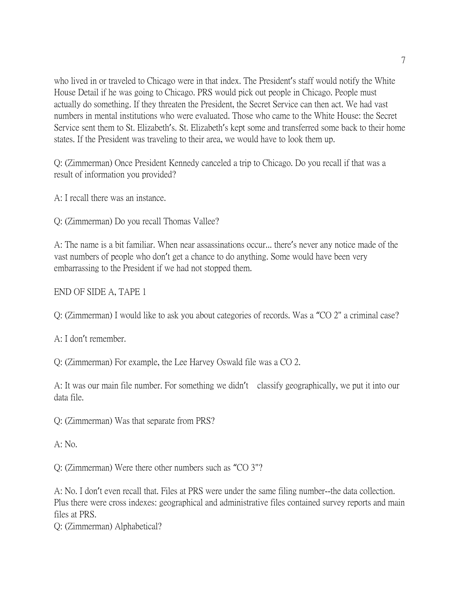who lived in or traveled to Chicago were in that index. The President's staff would notify the White House Detail if he was going to Chicago. PRS would pick out people in Chicago. People must actually do something. If they threaten the President, the Secret Service can then act. We had vast numbers in mental institutions who were evaluated. Those who came to the White House: the Secret Service sent them to St. Elizabeth's. St. Elizabeth's kept some and transferred some back to their home states. If the President was traveling to their area, we would have to look them up.

Q: (Zimmerman) Once President Kennedy canceled a trip to Chicago. Do you recall if that was a result of information you provided?

A: I recall there was an instance.

Q: (Zimmerman) Do you recall Thomas Vallee?

A: The name is a bit familiar. When near assassinations occur... there's never any notice made of the vast numbers of people who don't get a chance to do anything. Some would have been very embarrassing to the President if we had not stopped them.

END OF SIDE A, TAPE 1

Q: (Zimmerman) I would like to ask you about categories of records. Was a "CO 2" a criminal case?

A: I don't remember.

Q: (Zimmerman) For example, the Lee Harvey Oswald file was a CO 2.

A: It was our main file number. For something we didn't classify geographically, we put it into our data file.

Q: (Zimmerman) Was that separate from PRS?

 $A: No.$ 

Q: (Zimmerman) Were there other numbers such as "CO 3"?

A: No. I don't even recall that. Files at PRS were under the same filing number--the data collection. Plus there were cross indexes: geographical and administrative files contained survey reports and main files at PRS.

Q: (Zimmerman) Alphabetical?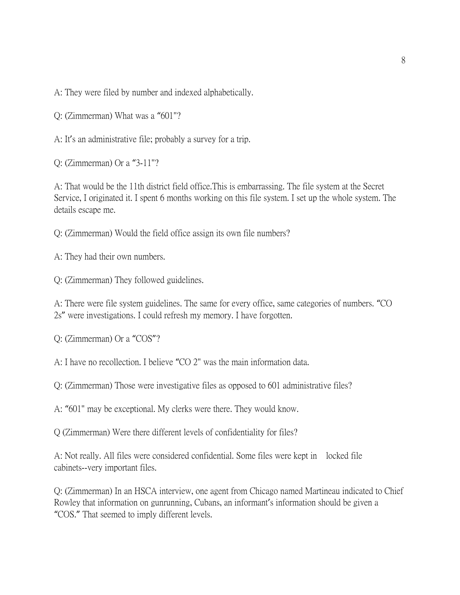A: They were filed by number and indexed alphabetically.

Q: (Zimmerman) What was a "601"?

A: It's an administrative file; probably a survey for a trip.

Q: (Zimmerman) Or a "3-11"?

A: That would be the 11th district field office.This is embarrassing. The file system at the Secret Service, I originated it. I spent 6 months working on this file system. I set up the whole system. The details escape me.

Q: (Zimmerman) Would the field office assign its own file numbers?

A: They had their own numbers.

Q: (Zimmerman) They followed guidelines.

A: There were file system guidelines. The same for every office, same categories of numbers. "CO 2s" were investigations. I could refresh my memory. I have forgotten.

Q: (Zimmerman) Or a "COS"?

A: I have no recollection. I believe "CO 2" was the main information data.

Q: (Zimmerman) Those were investigative files as opposed to 601 administrative files?

A: "601" may be exceptional. My clerks were there. They would know.

Q (Zimmerman) Were there different levels of confidentiality for files?

A: Not really. All files were considered confidential. Some files were kept in locked file cabinets--very important files.

Q: (Zimmerman) In an HSCA interview, one agent from Chicago named Martineau indicated to Chief Rowley that information on gunrunning, Cubans, an informant's information should be given a "COS." That seemed to imply different levels.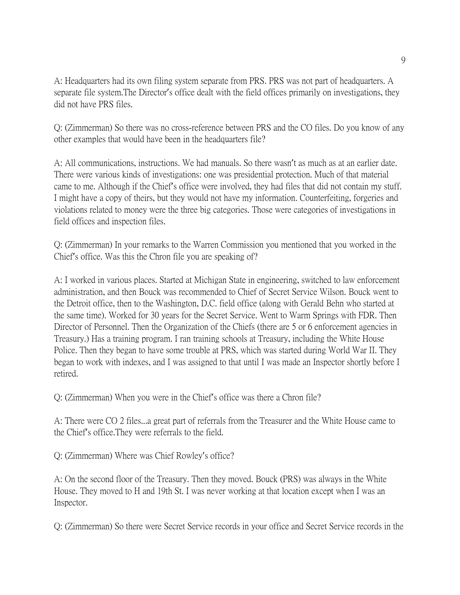A: Headquarters had its own filing system separate from PRS. PRS was not part of headquarters. A separate file system.The Director's office dealt with the field offices primarily on investigations, they did not have PRS files.

Q: (Zimmerman) So there was no cross-reference between PRS and the CO files. Do you know of any other examples that would have been in the headquarters file?

A: All communications, instructions. We had manuals. So there wasn't as much as at an earlier date. There were various kinds of investigations: one was presidential protection. Much of that material came to me. Although if the Chief's office were involved, they had files that did not contain my stuff. I might have a copy of theirs, but they would not have my information. Counterfeiting, forgeries and violations related to money were the three big categories. Those were categories of investigations in field offices and inspection files.

Q: (Zimmerman) In your remarks to the Warren Commission you mentioned that you worked in the Chief's office. Was this the Chron file you are speaking of?

A: I worked in various places. Started at Michigan State in engineering, switched to law enforcement administration, and then Bouck was recommended to Chief of Secret Service Wilson. Bouck went to the Detroit office, then to the Washington, D.C. field office (along with Gerald Behn who started at the same time). Worked for 30 years for the Secret Service. Went to Warm Springs with FDR. Then Director of Personnel. Then the Organization of the Chiefs (there are 5 or 6 enforcement agencies in Treasury.) Has a training program. I ran training schools at Treasury, including the White House Police. Then they began to have some trouble at PRS, which was started during World War II. They began to work with indexes, and I was assigned to that until I was made an Inspector shortly before I retired.

Q: (Zimmerman) When you were in the Chief's office was there a Chron file?

A: There were CO 2 files...a great part of referrals from the Treasurer and the White House came to the Chief's office.They were referrals to the field.

Q: (Zimmerman) Where was Chief Rowley's office?

A: On the second floor of the Treasury. Then they moved. Bouck (PRS) was always in the White House. They moved to H and 19th St. I was never working at that location except when I was an Inspector.

Q: (Zimmerman) So there were Secret Service records in your office and Secret Service records in the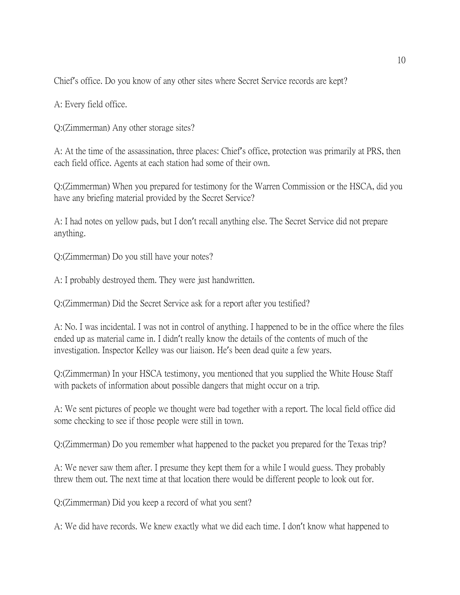Chief's office. Do you know of any other sites where Secret Service records are kept?

A: Every field office.

Q:(Zimmerman) Any other storage sites?

A: At the time of the assassination, three places: Chief's office, protection was primarily at PRS, then each field office. Agents at each station had some of their own.

Q:(Zimmerman) When you prepared for testimony for the Warren Commission or the HSCA, did you have any briefing material provided by the Secret Service?

A: I had notes on yellow pads, but I don't recall anything else. The Secret Service did not prepare anything.

Q:(Zimmerman) Do you still have your notes?

A: I probably destroyed them. They were just handwritten.

Q:(Zimmerman) Did the Secret Service ask for a report after you testified?

A: No. I was incidental. I was not in control of anything. I happened to be in the office where the files ended up as material came in. I didn't really know the details of the contents of much of the investigation. Inspector Kelley was our liaison. He's been dead quite a few years.

Q:(Zimmerman) In your HSCA testimony, you mentioned that you supplied the White House Staff with packets of information about possible dangers that might occur on a trip.

A: We sent pictures of people we thought were bad together with a report. The local field office did some checking to see if those people were still in town.

Q:(Zimmerman) Do you remember what happened to the packet you prepared for the Texas trip?

A: We never saw them after. I presume they kept them for a while I would guess. They probably threw them out. The next time at that location there would be different people to look out for.

Q:(Zimmerman) Did you keep a record of what you sent?

A: We did have records. We knew exactly what we did each time. I don't know what happened to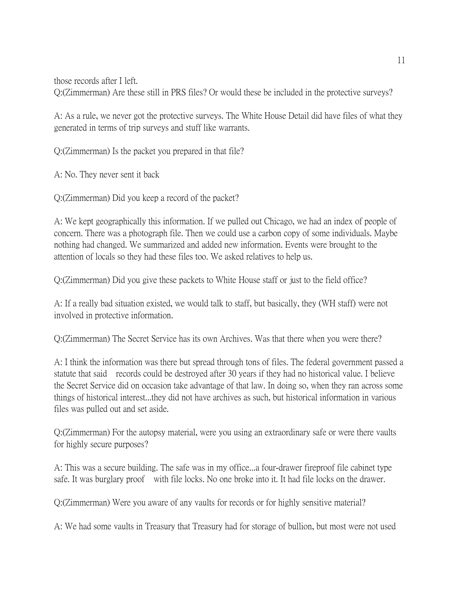those records after I left.

Q:(Zimmerman) Are these still in PRS files? Or would these be included in the protective surveys?

A: As a rule, we never got the protective surveys. The White House Detail did have files of what they generated in terms of trip surveys and stuff like warrants.

Q:(Zimmerman) Is the packet you prepared in that file?

A: No. They never sent it back

Q:(Zimmerman) Did you keep a record of the packet?

A: We kept geographically this information. If we pulled out Chicago, we had an index of people of concern. There was a photograph file. Then we could use a carbon copy of some individuals. Maybe nothing had changed. We summarized and added new information. Events were brought to the attention of locals so they had these files too. We asked relatives to help us.

Q:(Zimmerman) Did you give these packets to White House staff or just to the field office?

A: If a really bad situation existed, we would talk to staff, but basically, they (WH staff) were not involved in protective information.

Q:(Zimmerman) The Secret Service has its own Archives. Was that there when you were there?

A: I think the information was there but spread through tons of files. The federal government passed a statute that said records could be destroyed after 30 years if they had no historical value. I believe the Secret Service did on occasion take advantage of that law. In doing so, when they ran across some things of historical interest...they did not have archives as such, but historical information in various files was pulled out and set aside.

Q:(Zimmerman) For the autopsy material, were you using an extraordinary safe or were there vaults for highly secure purposes?

A: This was a secure building. The safe was in my office...a four-drawer fireproof file cabinet type safe. It was burglary proof with file locks. No one broke into it. It had file locks on the drawer.

Q:(Zimmerman) Were you aware of any vaults for records or for highly sensitive material?

A: We had some vaults in Treasury that Treasury had for storage of bullion, but most were not used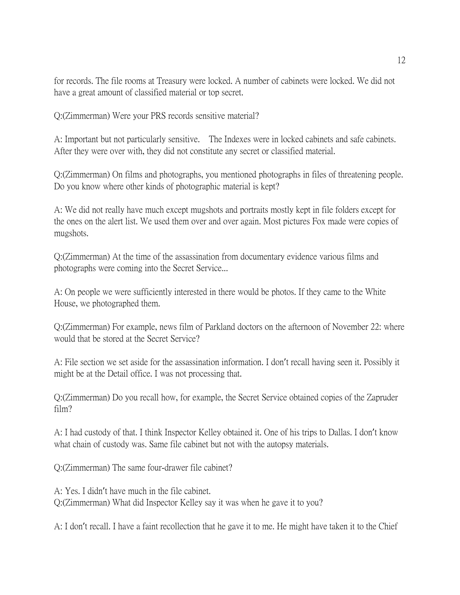for records. The file rooms at Treasury were locked. A number of cabinets were locked. We did not have a great amount of classified material or top secret.

Q:(Zimmerman) Were your PRS records sensitive material?

A: Important but not particularly sensitive. The Indexes were in locked cabinets and safe cabinets. After they were over with, they did not constitute any secret or classified material.

Q:(Zimmerman) On films and photographs, you mentioned photographs in files of threatening people. Do you know where other kinds of photographic material is kept?

A: We did not really have much except mugshots and portraits mostly kept in file folders except for the ones on the alert list. We used them over and over again. Most pictures Fox made were copies of mugshots.

Q:(Zimmerman) At the time of the assassination from documentary evidence various films and photographs were coming into the Secret Service...

A: On people we were sufficiently interested in there would be photos. If they came to the White House, we photographed them.

Q:(Zimmerman) For example, news film of Parkland doctors on the afternoon of November 22: where would that be stored at the Secret Service?

A: File section we set aside for the assassination information. I don't recall having seen it. Possibly it might be at the Detail office. I was not processing that.

Q:(Zimmerman) Do you recall how, for example, the Secret Service obtained copies of the Zapruder film?

A: I had custody of that. I think Inspector Kelley obtained it. One of his trips to Dallas. I don't know what chain of custody was. Same file cabinet but not with the autopsy materials.

Q:(Zimmerman) The same four-drawer file cabinet?

A: Yes. I didn't have much in the file cabinet. Q:(Zimmerman) What did Inspector Kelley say it was when he gave it to you?

A: I don't recall. I have a faint recollection that he gave it to me. He might have taken it to the Chief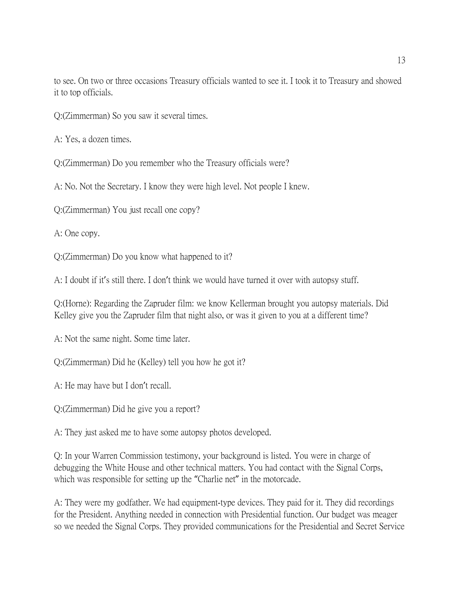to see. On two or three occasions Treasury officials wanted to see it. I took it to Treasury and showed it to top officials.

Q:(Zimmerman) So you saw it several times.

A: Yes, a dozen times.

Q:(Zimmerman) Do you remember who the Treasury officials were?

A: No. Not the Secretary. I know they were high level. Not people I knew.

Q:(Zimmerman) You just recall one copy?

A: One copy.

Q:(Zimmerman) Do you know what happened to it?

A: I doubt if it's still there. I don't think we would have turned it over with autopsy stuff.

Q:(Horne): Regarding the Zapruder film: we know Kellerman brought you autopsy materials. Did Kelley give you the Zapruder film that night also, or was it given to you at a different time?

A: Not the same night. Some time later.

Q:(Zimmerman) Did he (Kelley) tell you how he got it?

A: He may have but I don't recall.

Q:(Zimmerman) Did he give you a report?

A: They just asked me to have some autopsy photos developed.

Q: In your Warren Commission testimony, your background is listed. You were in charge of debugging the White House and other technical matters. You had contact with the Signal Corps, which was responsible for setting up the "Charlie net" in the motorcade.

A: They were my godfather. We had equipment-type devices. They paid for it. They did recordings for the President. Anything needed in connection with Presidential function. Our budget was meager so we needed the Signal Corps. They provided communications for the Presidential and Secret Service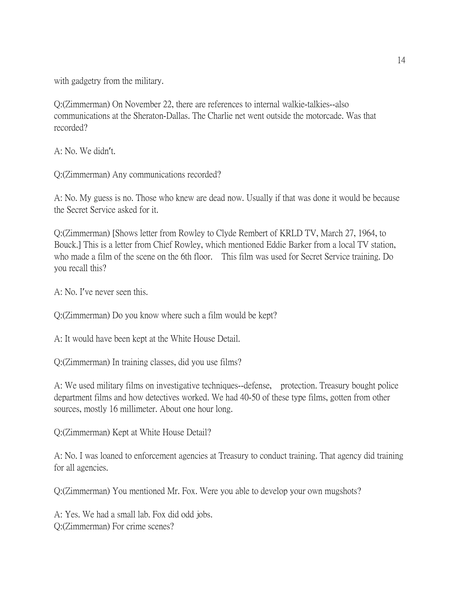with gadgetry from the military.

Q:(Zimmerman) On November 22, there are references to internal walkie-talkies--also communications at the Sheraton-Dallas. The Charlie net went outside the motorcade. Was that recorded?

A: No. We didn't.

Q:(Zimmerman) Any communications recorded?

A: No. My guess is no. Those who knew are dead now. Usually if that was done it would be because the Secret Service asked for it.

Q:(Zimmerman) [Shows letter from Rowley to Clyde Rembert of KRLD TV, March 27, 1964, to Bouck.] This is a letter from Chief Rowley, which mentioned Eddie Barker from a local TV station, who made a film of the scene on the 6th floor. This film was used for Secret Service training. Do you recall this?

A: No. I've never seen this.

Q:(Zimmerman) Do you know where such a film would be kept?

A: It would have been kept at the White House Detail.

Q:(Zimmerman) In training classes, did you use films?

A: We used military films on investigative techniques--defense, protection. Treasury bought police department films and how detectives worked. We had 40-50 of these type films, gotten from other sources, mostly 16 millimeter. About one hour long.

Q:(Zimmerman) Kept at White House Detail?

A: No. I was loaned to enforcement agencies at Treasury to conduct training. That agency did training for all agencies.

Q:(Zimmerman) You mentioned Mr. Fox. Were you able to develop your own mugshots?

A: Yes. We had a small lab. Fox did odd jobs. Q:(Zimmerman) For crime scenes?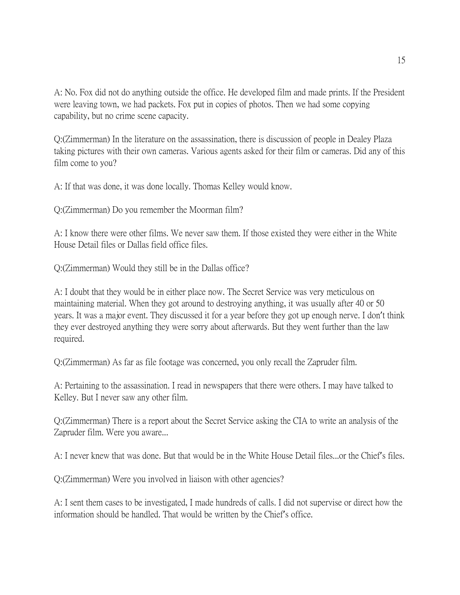A: No. Fox did not do anything outside the office. He developed film and made prints. If the President were leaving town, we had packets. Fox put in copies of photos. Then we had some copying capability, but no crime scene capacity.

Q:(Zimmerman) In the literature on the assassination, there is discussion of people in Dealey Plaza taking pictures with their own cameras. Various agents asked for their film or cameras. Did any of this film come to you?

A: If that was done, it was done locally. Thomas Kelley would know.

Q:(Zimmerman) Do you remember the Moorman film?

A: I know there were other films. We never saw them. If those existed they were either in the White House Detail files or Dallas field office files.

Q:(Zimmerman) Would they still be in the Dallas office?

A: I doubt that they would be in either place now. The Secret Service was very meticulous on maintaining material. When they got around to destroying anything, it was usually after 40 or 50 years. It was a major event. They discussed it for a year before they got up enough nerve. I don't think they ever destroyed anything they were sorry about afterwards. But they went further than the law required.

Q:(Zimmerman) As far as file footage was concerned, you only recall the Zapruder film.

A: Pertaining to the assassination. I read in newspapers that there were others. I may have talked to Kelley. But I never saw any other film.

Q:(Zimmerman) There is a report about the Secret Service asking the CIA to write an analysis of the Zapruder film. Were you aware...

A: I never knew that was done. But that would be in the White House Detail files...or the Chief's files.

Q:(Zimmerman) Were you involved in liaison with other agencies?

A: I sent them cases to be investigated, I made hundreds of calls. I did not supervise or direct how the information should be handled. That would be written by the Chief's office.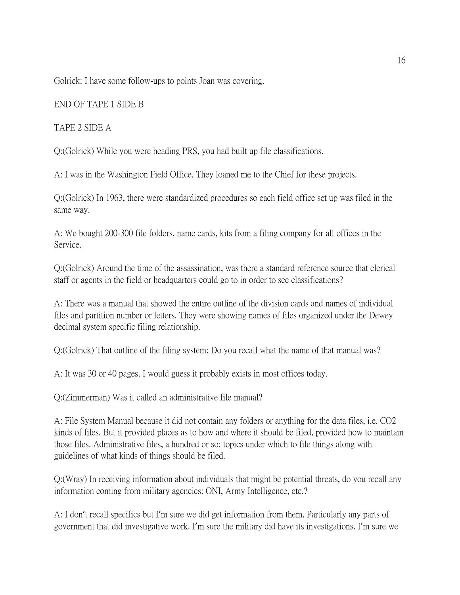Golrick: I have some follow-ups to points Joan was covering.

## END OF TAPE 1 SIDE B

## TAPE 2 SIDE A

Q:(Golrick) While you were heading PRS, you had built up file classifications.

A: I was in the Washington Field Office. They loaned me to the Chief for these projects.

Q:(Golrick) In 1963, there were standardized procedures so each field office set up was filed in the same way.

A: We bought 200-300 file folders, name cards, kits from a filing company for all offices in the Service.

Q:(Golrick) Around the time of the assassination, was there a standard reference source that clerical staff or agents in the field or headquarters could go to in order to see classifications?

A: There was a manual that showed the entire outline of the division cards and names of individual files and partition number or letters. They were showing names of files organized under the Dewey decimal system specific filing relationship.

Q:(Golrick) That outline of the filing system: Do you recall what the name of that manual was?

A: It was 30 or 40 pages. I would guess it probably exists in most offices today.

Q:(Zimmerman) Was it called an administrative file manual?

A: File System Manual because it did not contain any folders or anything for the data files, i.e. CO2 kinds of files. But it provided places as to how and where it should be filed, provided how to maintain those files. Administrative files, a hundred or so: topics under which to file things along with guidelines of what kinds of things should be filed.

Q:(Wray) In receiving information about individuals that might be potential threats, do you recall any information coming from military agencies: ONI, Army Intelligence, etc.?

A: I don't recall specifics but I'm sure we did get information from them. Particularly any parts of government that did investigative work. I'm sure the military did have its investigations. I'm sure we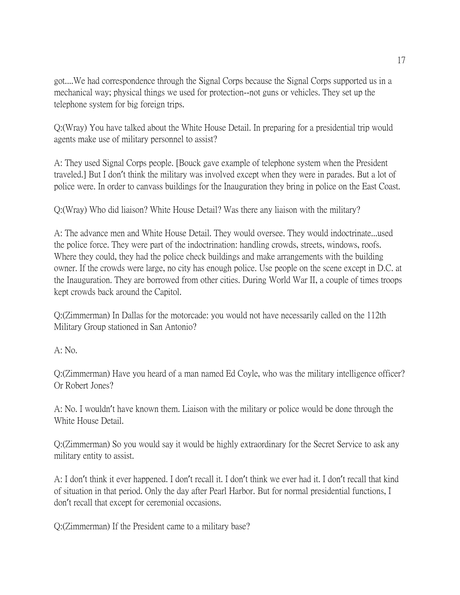got....We had correspondence through the Signal Corps because the Signal Corps supported us in a mechanical way; physical things we used for protection--not guns or vehicles. They set up the telephone system for big foreign trips.

Q:(Wray) You have talked about the White House Detail. In preparing for a presidential trip would agents make use of military personnel to assist?

A: They used Signal Corps people. [Bouck gave example of telephone system when the President traveled.] But I don't think the military was involved except when they were in parades. But a lot of police were. In order to canvass buildings for the Inauguration they bring in police on the East Coast.

Q:(Wray) Who did liaison? White House Detail? Was there any liaison with the military?

A: The advance men and White House Detail. They would oversee. They would indoctrinate...used the police force. They were part of the indoctrination: handling crowds, streets, windows, roofs. Where they could, they had the police check buildings and make arrangements with the building owner. If the crowds were large, no city has enough police. Use people on the scene except in D.C. at the Inauguration. They are borrowed from other cities. During World War II, a couple of times troops kept crowds back around the Capitol.

Q:(Zimmerman) In Dallas for the motorcade: you would not have necessarily called on the 112th Military Group stationed in San Antonio?

A: No.

Q:(Zimmerman) Have you heard of a man named Ed Coyle, who was the military intelligence officer? Or Robert Jones?

A: No. I wouldn't have known them. Liaison with the military or police would be done through the White House Detail.

Q:(Zimmerman) So you would say it would be highly extraordinary for the Secret Service to ask any military entity to assist.

A: I don't think it ever happened. I don't recall it. I don't think we ever had it. I don't recall that kind of situation in that period. Only the day after Pearl Harbor. But for normal presidential functions, I don't recall that except for ceremonial occasions.

Q:(Zimmerman) If the President came to a military base?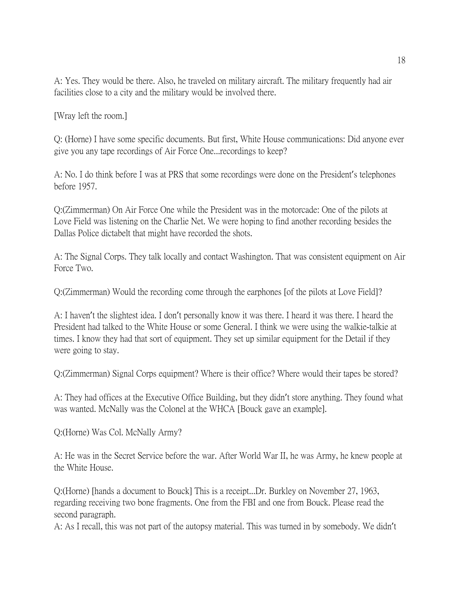A: Yes. They would be there. Also, he traveled on military aircraft. The military frequently had air facilities close to a city and the military would be involved there.

[Wray left the room.]

Q: (Horne) I have some specific documents. But first, White House communications: Did anyone ever give you any tape recordings of Air Force One...recordings to keep?

A: No. I do think before I was at PRS that some recordings were done on the President's telephones before 1957.

Q:(Zimmerman) On Air Force One while the President was in the motorcade: One of the pilots at Love Field was listening on the Charlie Net. We were hoping to find another recording besides the Dallas Police dictabelt that might have recorded the shots.

A: The Signal Corps. They talk locally and contact Washington. That was consistent equipment on Air Force Two.

Q:(Zimmerman) Would the recording come through the earphones [of the pilots at Love Field]?

A: I haven't the slightest idea. I don't personally know it was there. I heard it was there. I heard the President had talked to the White House or some General. I think we were using the walkie-talkie at times. I know they had that sort of equipment. They set up similar equipment for the Detail if they were going to stay.

Q:(Zimmerman) Signal Corps equipment? Where is their office? Where would their tapes be stored?

A: They had offices at the Executive Office Building, but they didn't store anything. They found what was wanted. McNally was the Colonel at the WHCA [Bouck gave an example].

Q:(Horne) Was Col. McNally Army?

A: He was in the Secret Service before the war. After World War II, he was Army, he knew people at the White House.

Q:(Horne) [hands a document to Bouck] This is a receipt...Dr. Burkley on November 27, 1963, regarding receiving two bone fragments. One from the FBI and one from Bouck. Please read the second paragraph.

A: As I recall, this was not part of the autopsy material. This was turned in by somebody. We didn't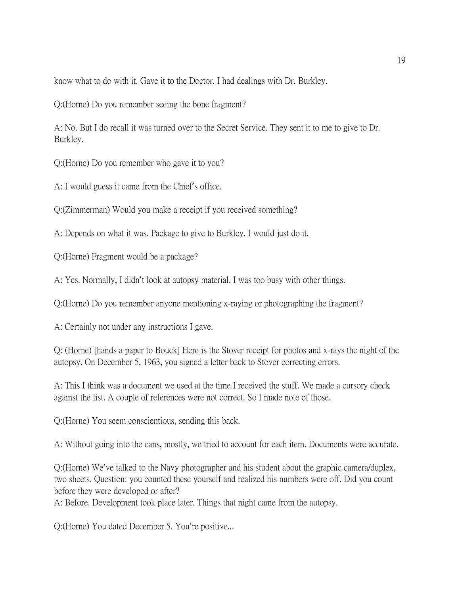know what to do with it. Gave it to the Doctor. I had dealings with Dr. Burkley.

Q:(Horne) Do you remember seeing the bone fragment?

A: No. But I do recall it was turned over to the Secret Service. They sent it to me to give to Dr. Burkley.

Q:(Horne) Do you remember who gave it to you?

A: I would guess it came from the Chief's office.

Q:(Zimmerman) Would you make a receipt if you received something?

A: Depends on what it was. Package to give to Burkley. I would just do it.

Q:(Horne) Fragment would be a package?

A: Yes. Normally, I didn't look at autopsy material. I was too busy with other things.

Q:(Horne) Do you remember anyone mentioning x-raying or photographing the fragment?

A: Certainly not under any instructions I gave.

Q: (Horne) [hands a paper to Bouck] Here is the Stover receipt for photos and x-rays the night of the autopsy. On December 5, 1963, you signed a letter back to Stover correcting errors.

A: This I think was a document we used at the time I received the stuff. We made a cursory check against the list. A couple of references were not correct. So I made note of those.

Q:(Horne) You seem conscientious, sending this back.

A: Without going into the cans, mostly, we tried to account for each item. Documents were accurate.

Q:(Horne) We've talked to the Navy photographer and his student about the graphic camera/duplex, two sheets. Question: you counted these yourself and realized his numbers were off. Did you count before they were developed or after?

A: Before. Development took place later. Things that night came from the autopsy.

Q:(Horne) You dated December 5. You're positive...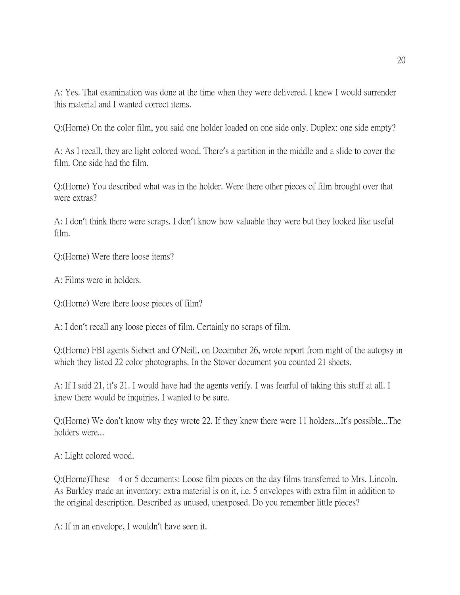A: Yes. That examination was done at the time when they were delivered. I knew I would surrender this material and I wanted correct items.

Q:(Horne) On the color film, you said one holder loaded on one side only. Duplex: one side empty?

A: As I recall, they are light colored wood. There's a partition in the middle and a slide to cover the film. One side had the film.

Q:(Horne) You described what was in the holder. Were there other pieces of film brought over that were extras?

A: I don't think there were scraps. I don't know how valuable they were but they looked like useful film.

Q:(Horne) Were there loose items?

A: Films were in holders.

Q:(Horne) Were there loose pieces of film?

A: I don't recall any loose pieces of film. Certainly no scraps of film.

Q:(Horne) FBI agents Siebert and O'Neill, on December 26, wrote report from night of the autopsy in which they listed 22 color photographs. In the Stover document you counted 21 sheets.

A: If I said 21, it's 21. I would have had the agents verify. I was fearful of taking this stuff at all. I knew there would be inquiries. I wanted to be sure.

Q:(Horne) We don't know why they wrote 22. If they knew there were 11 holders...It's possible...The holders were...

A: Light colored wood.

Q:(Horne)These 4 or 5 documents: Loose film pieces on the day films transferred to Mrs. Lincoln. As Burkley made an inventory: extra material is on it, i.e. 5 envelopes with extra film in addition to the original description. Described as unused, unexposed. Do you remember little pieces?

A: If in an envelope, I wouldn't have seen it.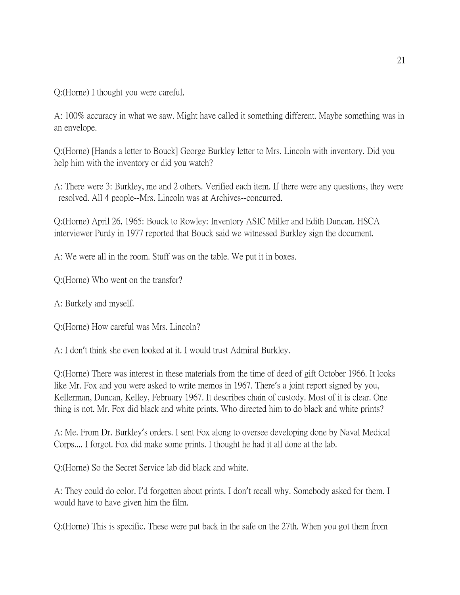Q:(Horne) I thought you were careful.

A: 100% accuracy in what we saw. Might have called it something different. Maybe something was in an envelope.

Q:(Horne) [Hands a letter to Bouck] George Burkley letter to Mrs. Lincoln with inventory. Did you help him with the inventory or did you watch?

A: There were 3: Burkley, me and 2 others. Verified each item. If there were any questions, they were resolved. All 4 people--Mrs. Lincoln was at Archives--concurred.

Q:(Horne) April 26, 1965: Bouck to Rowley: Inventory ASIC Miller and Edith Duncan. HSCA interviewer Purdy in 1977 reported that Bouck said we witnessed Burkley sign the document.

A: We were all in the room. Stuff was on the table. We put it in boxes.

Q:(Horne) Who went on the transfer?

A: Burkely and myself.

Q:(Horne) How careful was Mrs. Lincoln?

A: I don't think she even looked at it. I would trust Admiral Burkley.

Q:(Horne) There was interest in these materials from the time of deed of gift October 1966. It looks like Mr. Fox and you were asked to write memos in 1967. There's a joint report signed by you, Kellerman, Duncan, Kelley, February 1967. It describes chain of custody. Most of it is clear. One thing is not. Mr. Fox did black and white prints. Who directed him to do black and white prints?

A: Me. From Dr. Burkley's orders. I sent Fox along to oversee developing done by Naval Medical Corps.... I forgot. Fox did make some prints. I thought he had it all done at the lab.

Q:(Horne) So the Secret Service lab did black and white.

A: They could do color. I'd forgotten about prints. I don't recall why. Somebody asked for them. I would have to have given him the film.

Q:(Horne) This is specific. These were put back in the safe on the 27th. When you got them from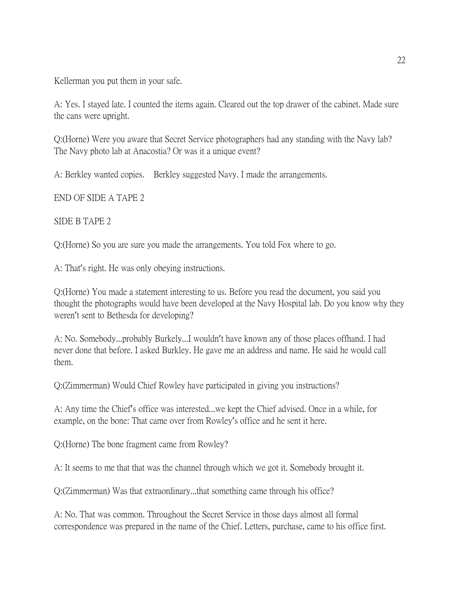Kellerman you put them in your safe.

A: Yes. I stayed late. I counted the items again. Cleared out the top drawer of the cabinet. Made sure the cans were upright.

Q:(Horne) Were you aware that Secret Service photographers had any standing with the Navy lab? The Navy photo lab at Anacostia? Or was it a unique event?

A: Berkley wanted copies. Berkley suggested Navy. I made the arrangements.

END OF SIDE A TAPE 2

SIDE B TAPE 2

Q:(Horne) So you are sure you made the arrangements. You told Fox where to go.

A: That's right. He was only obeying instructions.

Q:(Horne) You made a statement interesting to us. Before you read the document, you said you thought the photographs would have been developed at the Navy Hospital lab. Do you know why they weren't sent to Bethesda for developing?

A: No. Somebody...probably Burkely...I wouldn't have known any of those places offhand. I had never done that before. I asked Burkley. He gave me an address and name. He said he would call them.

Q:(Zimmerman) Would Chief Rowley have participated in giving you instructions?

A: Any time the Chief's office was interested...we kept the Chief advised. Once in a while, for example, on the bone: That came over from Rowley's office and he sent it here.

Q:(Horne) The bone fragment came from Rowley?

A: It seems to me that that was the channel through which we got it. Somebody brought it.

Q:(Zimmerman) Was that extraordinary...that something came through his office?

A: No. That was common. Throughout the Secret Service in those days almost all formal correspondence was prepared in the name of the Chief. Letters, purchase, came to his office first.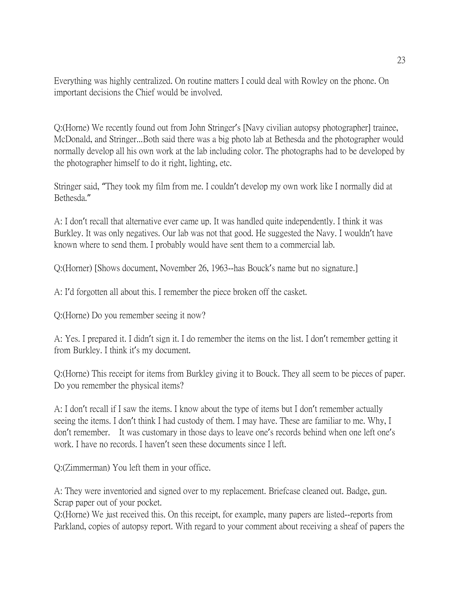Everything was highly centralized. On routine matters I could deal with Rowley on the phone. On important decisions the Chief would be involved.

Q:(Horne) We recently found out from John Stringer's [Navy civilian autopsy photographer] trainee, McDonald, and Stringer...Both said there was a big photo lab at Bethesda and the photographer would normally develop all his own work at the lab including color. The photographs had to be developed by the photographer himself to do it right, lighting, etc.

Stringer said, "They took my film from me. I couldn't develop my own work like I normally did at Bethesda."

A: I don't recall that alternative ever came up. It was handled quite independently. I think it was Burkley. It was only negatives. Our lab was not that good. He suggested the Navy. I wouldn't have known where to send them. I probably would have sent them to a commercial lab.

Q:(Horner) [Shows document, November 26, 1963--has Bouck's name but no signature.]

A: I'd forgotten all about this. I remember the piece broken off the casket.

Q:(Horne) Do you remember seeing it now?

A: Yes. I prepared it. I didn't sign it. I do remember the items on the list. I don't remember getting it from Burkley. I think it's my document.

Q:(Horne) This receipt for items from Burkley giving it to Bouck. They all seem to be pieces of paper. Do you remember the physical items?

A: I don't recall if I saw the items. I know about the type of items but I don't remember actually seeing the items. I don't think I had custody of them. I may have. These are familiar to me. Why, I don't remember. It was customary in those days to leave one's records behind when one left one's work. I have no records. I haven't seen these documents since I left.

Q:(Zimmerman) You left them in your office.

A: They were inventoried and signed over to my replacement. Briefcase cleaned out. Badge, gun. Scrap paper out of your pocket.

Q:(Horne) We just received this. On this receipt, for example, many papers are listed--reports from Parkland, copies of autopsy report. With regard to your comment about receiving a sheaf of papers the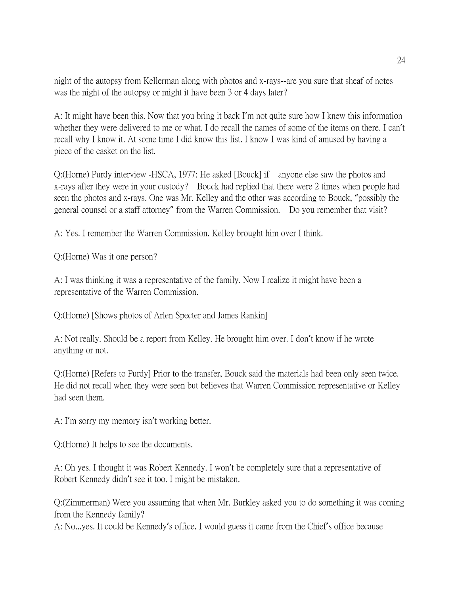night of the autopsy from Kellerman along with photos and x-rays--are you sure that sheaf of notes was the night of the autopsy or might it have been 3 or 4 days later?

A: It might have been this. Now that you bring it back I'm not quite sure how I knew this information whether they were delivered to me or what. I do recall the names of some of the items on there. I can't recall why I know it. At some time I did know this list. I know I was kind of amused by having a piece of the casket on the list.

Q:(Horne) Purdy interview -HSCA, 1977: He asked [Bouck] if anyone else saw the photos and x-rays after they were in your custody? Bouck had replied that there were 2 times when people had seen the photos and x-rays. One was Mr. Kelley and the other was according to Bouck, "possibly the general counsel or a staff attorney" from the Warren Commission. Do you remember that visit?

A: Yes. I remember the Warren Commission. Kelley brought him over I think.

Q:(Horne) Was it one person?

A: I was thinking it was a representative of the family. Now I realize it might have been a representative of the Warren Commission.

Q:(Horne) [Shows photos of Arlen Specter and James Rankin]

A: Not really. Should be a report from Kelley. He brought him over. I don't know if he wrote anything or not.

Q:(Horne) [Refers to Purdy] Prior to the transfer, Bouck said the materials had been only seen twice. He did not recall when they were seen but believes that Warren Commission representative or Kelley had seen them.

A: I'm sorry my memory isn't working better.

Q:(Horne) It helps to see the documents.

A: Oh yes. I thought it was Robert Kennedy. I won't be completely sure that a representative of Robert Kennedy didn't see it too. I might be mistaken.

Q:(Zimmerman) Were you assuming that when Mr. Burkley asked you to do something it was coming from the Kennedy family?

A: No...yes. It could be Kennedy's office. I would guess it came from the Chief's office because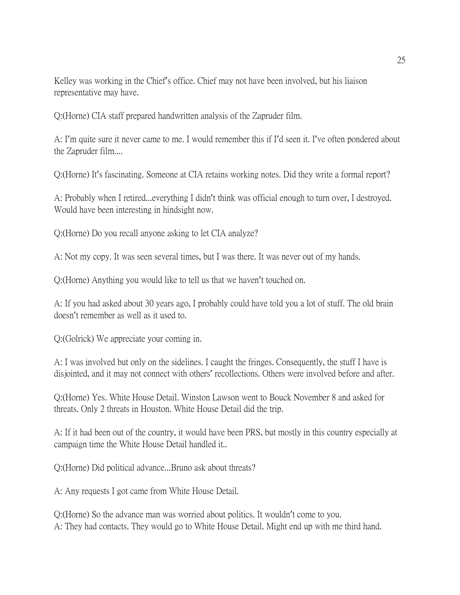Kelley was working in the Chief's office. Chief may not have been involved, but his liaison representative may have.

Q:(Horne) CIA staff prepared handwritten analysis of the Zapruder film.

A: I'm quite sure it never came to me. I would remember this if I'd seen it. I've often pondered about the Zapruder film....

Q:(Horne) It's fascinating. Someone at CIA retains working notes. Did they write a formal report?

A: Probably when I retired...everything I didn't think was official enough to turn over, I destroyed. Would have been interesting in hindsight now.

Q:(Horne) Do you recall anyone asking to let CIA analyze?

A: Not my copy. It was seen several times, but I was there. It was never out of my hands.

Q:(Horne) Anything you would like to tell us that we haven't touched on.

A: If you had asked about 30 years ago, I probably could have told you a lot of stuff. The old brain doesn't remember as well as it used to.

Q:(Golrick) We appreciate your coming in.

A: I was involved but only on the sidelines. I caught the fringes. Consequently, the stuff I have is disjointed, and it may not connect with others' recollections. Others were involved before and after.

Q:(Horne) Yes. White House Detail. Winston Lawson went to Bouck November 8 and asked for threats. Only 2 threats in Houston. White House Detail did the trip.

A: If it had been out of the country, it would have been PRS, but mostly in this country especially at campaign time the White House Detail handled it..

Q:(Horne) Did political advance...Bruno ask about threats?

A: Any requests I got came from White House Detail.

Q:(Horne) So the advance man was worried about politics. It wouldn't come to you. A: They had contacts. They would go to White House Detail. Might end up with me third hand.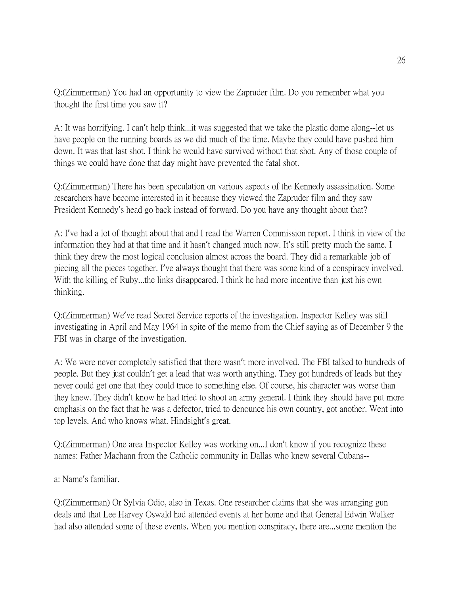Q:(Zimmerman) You had an opportunity to view the Zapruder film. Do you remember what you thought the first time you saw it?

A: It was horrifying. I can't help think...it was suggested that we take the plastic dome along--let us have people on the running boards as we did much of the time. Maybe they could have pushed him down. It was that last shot. I think he would have survived without that shot. Any of those couple of things we could have done that day might have prevented the fatal shot.

Q:(Zimmerman) There has been speculation on various aspects of the Kennedy assassination. Some researchers have become interested in it because they viewed the Zapruder film and they saw President Kennedy's head go back instead of forward. Do you have any thought about that?

A: I've had a lot of thought about that and I read the Warren Commission report. I think in view of the information they had at that time and it hasn't changed much now. It's still pretty much the same. I think they drew the most logical conclusion almost across the board. They did a remarkable job of piecing all the pieces together. I've always thought that there was some kind of a conspiracy involved. With the killing of Ruby...the links disappeared. I think he had more incentive than just his own thinking.

Q:(Zimmerman) We've read Secret Service reports of the investigation. Inspector Kelley was still investigating in April and May 1964 in spite of the memo from the Chief saying as of December 9 the FBI was in charge of the investigation.

A: We were never completely satisfied that there wasn't more involved. The FBI talked to hundreds of people. But they just couldn't get a lead that was worth anything. They got hundreds of leads but they never could get one that they could trace to something else. Of course, his character was worse than they knew. They didn't know he had tried to shoot an army general. I think they should have put more emphasis on the fact that he was a defector, tried to denounce his own country, got another. Went into top levels. And who knows what. Hindsight's great.

Q:(Zimmerman) One area Inspector Kelley was working on...I don't know if you recognize these names: Father Machann from the Catholic community in Dallas who knew several Cubans--

a: Name's familiar.

Q:(Zimmerman) Or Sylvia Odio, also in Texas. One researcher claims that she was arranging gun deals and that Lee Harvey Oswald had attended events at her home and that General Edwin Walker had also attended some of these events. When you mention conspiracy, there are...some mention the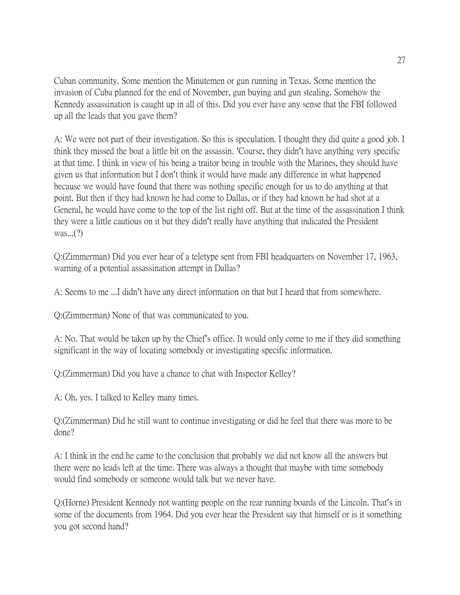Cuban community. Some mention the Minutemen or gun running in Texas. Some mention the invasion of Cuba planned for the end of November, gun buying and gun stealing. Somehow the Kennedy assassination is caught up in all of this. Did you ever have any sense that the FBI followed up all the leads that you gave them?

A: We were not part of their investigation. So this is speculation. I thought they did quite a good job. I think they missed the boat a little bit on the assassin. 'Course, they didn't have anything very specific at that time. I think in view of his being a traitor being in trouble with the Marines, they should have given us that information but I don't think it would have made any difference in what happened because we would have found that there was nothing specific enough for us to do anything at that point. But then if they had known he had come to Dallas, or if they had known he had shot at a General, he would have come to the top of the list right off. But at the time of the assassination I think they were a little cautious on it but they didn't really have anything that indicated the President was...(?)

Q:(Zimmerman) Did you ever hear of a teletype sent from FBI headquarters on November 17, 1963, warning of a potential assassination attempt in Dallas?

A: Seems to me ...I didn't have any direct information on that but I heard that from somewhere.

Q:(Zimmerman) None of that was communicated to you.

A: No. That would be taken up by the Chief's office. It would only come to me if they did something significant in the way of locating somebody or investigating specific information.

Q:(Zimmerman) Did you have a chance to chat with Inspector Kelley?

A: Oh, yes. I talked to Kelley many times.

Q:(Zimmerman) Did he still want to continue investigating or did he feel that there was more to be done?

A: I think in the end he came to the conclusion that probably we did not know all the answers but there were no leads left at the time. There was always a thought that maybe with time somebody would find somebody or someone would talk but we never have.

Q:(Horne) President Kennedy not wanting people on the rear running boards of the Lincoln. That's in some of the documents from 1964. Did you ever hear the President say that himself or is it something you got second hand?